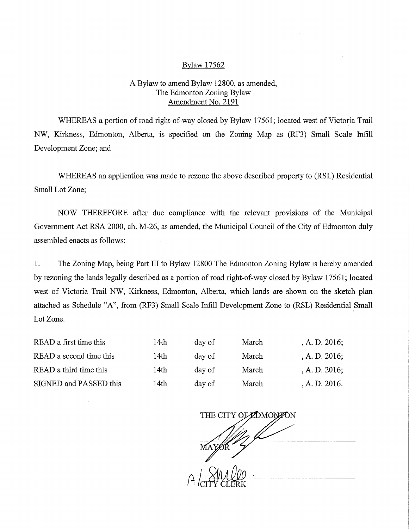## Bylaw 17562

## A Bylaw to amend Bylaw 12800, as amended, The Edmonton Zoning Bylaw Amendment No. 2191

WHEREAS a portion of road right-of-way closed by Bylaw 17561; located west of Victoria Trail NW, Kirkness, Edmonton, Alberta, is specified on the Zoning Map as (RF3) Small Scale Infill Development Zone; and

WHEREAS an application was made to rezone the above described property to (RSL) Residential Small Lot Zone;

NOW THEREFORE after due compliance with the relevant provisions of the Municipal Government Act RSA 2000, ch. M-26, as amended, the Municipal Council of the City of Edmonton duly assembled enacts as follows:

1. The Zoning Map, being Part III to Bylaw 12800 The Edmonton Zoning Bylaw is hereby amended by rezoning the lands legally described as a portion of road right-of-way closed by Bylaw 17561; located west of Victoria Trail NW, Kirkness, Edmonton, Alberta, which lands are shown on the sketch plan attached as Schedule "A", from (RF3) Small Scale Infill Development Zone to (RSL) Residential Small Lot Zone.

| READ a first time this<br>READ a second time this | 14th | day of | March | , A. D. $2016$ ; |
|---------------------------------------------------|------|--------|-------|------------------|
|                                                   | 14th | day of | March | A. D. 2016;      |
| READ a third time this                            | 14th | day of | March | A. D. 2016;      |
| SIGNED and PASSED this                            | 14th | day of | March | A. D. 2016.      |

THE CITY OF EDMONTON  $\zeta$ CITY CLERK